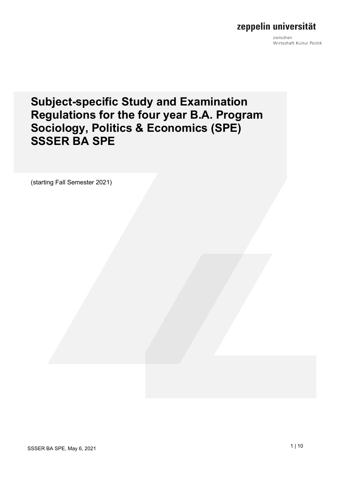zwischen Wirtschaft Kultur Politik

# **Subject-specific Study and Examination Regulations for the four year B.A. Program Sociology, Politics & Economics (SPE) SSSER BA SPE**

(starting Fall Semester 2021)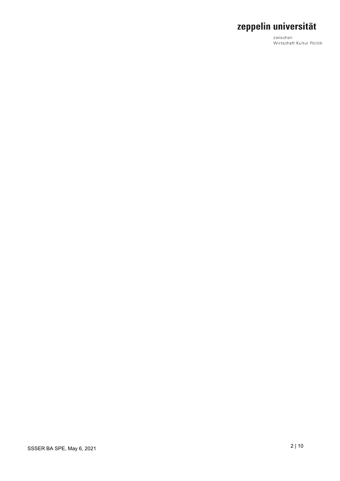zwischen<br>Wirtschaft Kultur Politik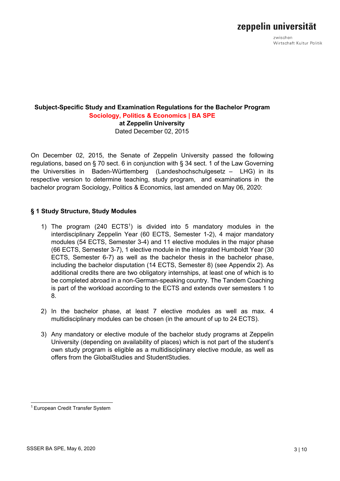zwischen Wirtschaft Kultur Politik

### **Subject-Specific Study and Examination Regulations for the Bachelor Program Sociology, Politics & Economics | BA SPE at Zeppelin University** Dated December 02, 2015

On December 02, 2015, the Senate of Zeppelin University passed the following regulations, based on § 70 sect. 6 in conjunction with § 34 sect. 1 of the Law Governing the Universities in Baden-Württemberg (Landeshochschulgesetz – LHG) in its respective version to determine teaching, study program, and examinations in the bachelor program Sociology, Politics & Economics, last amended on May 06, 2020:

## **§ 1 Study Structure, Study Modules**

- 1) The program  $(240 \text{ ECTS}^1)$  is divided into 5 mandatory modules in the interdisciplinary Zeppelin Year (60 ECTS, Semester 1-2), 4 major mandatory modules (54 ECTS, Semester 3-4) and 11 elective modules in the major phase (66 ECTS, Semester 3-7), 1 elective module in the integrated Humboldt Year (30 ECTS, Semester 6-7) as well as the bachelor thesis in the bachelor phase, including the bachelor disputation (14 ECTS, Semester 8) (see Appendix 2). As additional credits there are two obligatory internships, at least one of which is to be completed abroad in a non-German-speaking country. The Tandem Coaching is part of the workload according to the ECTS and extends over semesters 1 to 8.
- 2) In the bachelor phase, at least 7 elective modules as well as max. 4 multidisciplinary modules can be chosen (in the amount of up to 24 ECTS).
- 3) Any mandatory or elective module of the bachelor study programs at Zeppelin University (depending on availability of places) which is not part of the student's own study program is eligible as a multidisciplinary elective module, as well as offers from the GlobalStudies and StudentStudies.

<span id="page-2-0"></span><sup>1</sup> European Credit Transfer System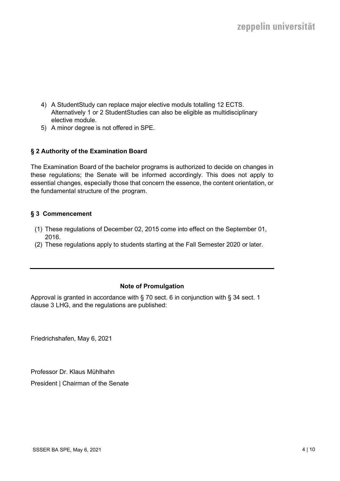- 4) A StudentStudy can replace major elective moduls totalling 12 ECTS. Alternatively 1 or 2 StudentStudies can also be eligible as multidisciplinary elective module.
- 5) A minor degree is not offered in SPE.

### **§ 2 Authority of the Examination Board**

The Examination Board of the bachelor programs is authorized to decide on changes in these regulations; the Senate will be informed accordingly. This does not apply to essential changes, especially those that concern the essence, the content orientation, or the fundamental structure of the program.

### **§ 3 Commencement**

- (1) These regulations of December 02, 2015 come into effect on the September 01, 2016.
- (2) These regulations apply to students starting at the Fall Semester 2020 or later.

### **Note of Promulgation**

Approval is granted in accordance with § 70 sect. 6 in conjunction with § 34 sect. 1 clause 3 LHG, and the regulations are published:

Friedrichshafen, May 6, 2021

Professor Dr. Klaus Mühlhahn

President | Chairman of the Senate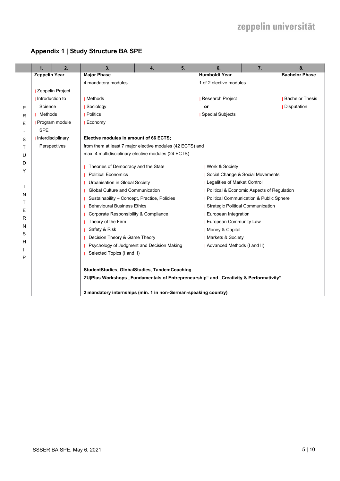## **Appendix 1 | Study Structure BA SPE**

|   | 1.                                            | 2.                    | 3.                                                                                     | 4.                                       | 5.                                  | 6.                            | 7.                                                                             | 8.                     |  |  |  |  |
|---|-----------------------------------------------|-----------------------|----------------------------------------------------------------------------------------|------------------------------------------|-------------------------------------|-------------------------------|--------------------------------------------------------------------------------|------------------------|--|--|--|--|
|   | <b>Zeppelin Year</b>                          |                       | <b>Major Phase</b>                                                                     |                                          |                                     | <b>Humboldt Year</b>          |                                                                                | <b>Bachelor Phase</b>  |  |  |  |  |
|   |                                               |                       | 4 mandatory modules                                                                    |                                          |                                     | 1 of 2 elective modules       |                                                                                |                        |  |  |  |  |
|   |                                               | Zeppelin Project      |                                                                                        |                                          |                                     |                               |                                                                                |                        |  |  |  |  |
|   | I Introduction to                             |                       | <b>I</b> Methods                                                                       |                                          |                                     | Research Project              |                                                                                | <b>Bachelor Thesis</b> |  |  |  |  |
| P | Science                                       |                       | <b>Sociology</b>                                                                       |                                          |                                     | or                            |                                                                                | Disputation            |  |  |  |  |
| R | Methods                                       |                       | <b>I</b> Politics                                                                      |                                          |                                     | Special Subjects              |                                                                                |                        |  |  |  |  |
| E |                                               | <b>Program module</b> | <b>Economy</b>                                                                         |                                          |                                     |                               |                                                                                |                        |  |  |  |  |
|   | <b>SPE</b>                                    |                       |                                                                                        |                                          |                                     |                               |                                                                                |                        |  |  |  |  |
| S | I Interdisciplinary                           |                       | Elective modules in amount of 66 ECTS;                                                 |                                          |                                     |                               |                                                                                |                        |  |  |  |  |
| Т | Perspectives                                  |                       | from them at least 7 major elective modules (42 ECTS) and                              |                                          |                                     |                               |                                                                                |                        |  |  |  |  |
| U |                                               |                       | max. 4 multidisciplinary elective modules (24 ECTS)                                    |                                          |                                     |                               |                                                                                |                        |  |  |  |  |
| D |                                               |                       |                                                                                        |                                          |                                     |                               |                                                                                |                        |  |  |  |  |
| Υ |                                               |                       | Theories of Democracy and the State<br><b>Political Economics</b>                      |                                          |                                     | <b>I</b> Work & Society       |                                                                                |                        |  |  |  |  |
|   |                                               |                       | Urbanisation in Global Society                                                         |                                          | <b>Legalities of Market Control</b> |                               | Social Change & Social Movements<br>Political & Economic Aspects of Regulation |                        |  |  |  |  |
|   |                                               |                       | <b>Global Culture and Communication</b>                                                |                                          |                                     |                               |                                                                                |                        |  |  |  |  |
| N |                                               |                       | Sustainability - Concept, Practice, Policies                                           |                                          |                                     |                               | <b>Political Communication &amp; Public Sphere</b>                             |                        |  |  |  |  |
| т |                                               |                       | <b>Behavioural Business Ethics</b>                                                     | <b>Strategic Political Communication</b> |                                     |                               |                                                                                |                        |  |  |  |  |
| Ε |                                               |                       | Corporate Responsibility & Compliance                                                  |                                          |                                     | <b>European Integration</b>   |                                                                                |                        |  |  |  |  |
| R |                                               |                       | Theory of the Firm                                                                     |                                          |                                     | <b>European Community Law</b> |                                                                                |                        |  |  |  |  |
| N |                                               |                       | Safety & Risk                                                                          |                                          |                                     | Money & Capital               |                                                                                |                        |  |  |  |  |
| S |                                               |                       | Decision Theory & Game Theory                                                          |                                          |                                     | <b>I</b> Markets & Society    |                                                                                |                        |  |  |  |  |
| H |                                               |                       | Psychology of Judgment and Decision Making                                             |                                          |                                     | Advanced Methods (I and II)   |                                                                                |                        |  |  |  |  |
|   |                                               |                       | Selected Topics (I and II)                                                             |                                          |                                     |                               |                                                                                |                        |  |  |  |  |
| P |                                               |                       |                                                                                        |                                          |                                     |                               |                                                                                |                        |  |  |  |  |
|   | StudentStudies, GlobalStudies, TandemCoaching |                       |                                                                                        |                                          |                                     |                               |                                                                                |                        |  |  |  |  |
|   |                                               |                       | ZU Plus Workshops "Fundamentals of Entrepreneurship" and "Creativity & Performativity" |                                          |                                     |                               |                                                                                |                        |  |  |  |  |
|   |                                               |                       |                                                                                        |                                          |                                     |                               |                                                                                |                        |  |  |  |  |
|   |                                               |                       | 2 mandatory internships (min. 1 in non-German-speaking country)                        |                                          |                                     |                               |                                                                                |                        |  |  |  |  |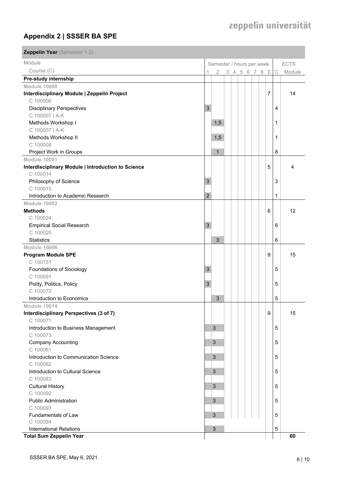# **Appendix 2 | SSSER BA SPE**

**Zeppelin Year** (Semester 1-2)

| Module                                             |                | Semester / hours per week |   |  |  |  |  |  |             | <b>ECTS</b>    |        |
|----------------------------------------------------|----------------|---------------------------|---|--|--|--|--|--|-------------|----------------|--------|
| Course (C)                                         |                | 2                         | 3 |  |  |  |  |  | 4 5 6 7 8 2 | C              | Module |
| <b>Pre-study internship</b>                        |                |                           |   |  |  |  |  |  |             |                |        |
| Module 10000                                       |                |                           |   |  |  |  |  |  |             |                |        |
| Interdisciplinary Module   Zeppelin Project        |                |                           |   |  |  |  |  |  | 7           |                | 14     |
| C 100006                                           |                |                           |   |  |  |  |  |  |             |                |        |
| <b>Disciplinary Perspectives</b>                   | $\mathbf{3}$   |                           |   |  |  |  |  |  |             | $\overline{4}$ |        |
| C 100007   A-K                                     |                |                           |   |  |  |  |  |  |             |                |        |
| Methods Workshop I                                 |                | 1,5                       |   |  |  |  |  |  |             | 1              |        |
| C 100007   A-K                                     |                |                           |   |  |  |  |  |  |             |                |        |
| Methods Workshop II                                |                | 1,5                       |   |  |  |  |  |  |             | 1              |        |
| C 100008                                           |                |                           |   |  |  |  |  |  |             |                |        |
| Project Work in Groups                             |                | $\mathbf 1$               |   |  |  |  |  |  |             | 8              |        |
| Module 10001                                       |                |                           |   |  |  |  |  |  |             |                |        |
| Interdisciplinary Module   Introduction to Science |                |                           |   |  |  |  |  |  | 5           |                | 4      |
| C 100014                                           |                |                           |   |  |  |  |  |  |             |                |        |
| Philosophy of Science                              | $\mathbf{3}$   |                           |   |  |  |  |  |  |             | 3              |        |
| C 100015                                           |                |                           |   |  |  |  |  |  |             |                |        |
| Introduction to Academic Research                  | $\overline{2}$ |                           |   |  |  |  |  |  |             | $\mathbf{1}$   |        |
| Module 10002                                       |                |                           |   |  |  |  |  |  |             |                |        |
| <b>Methods</b>                                     |                |                           |   |  |  |  |  |  | 6           |                | 12     |
| C 100024                                           |                |                           |   |  |  |  |  |  |             |                |        |
| <b>Empirical Social Research</b>                   | $\mathbf{3}$   |                           |   |  |  |  |  |  |             | 6              |        |
| C 100025                                           |                |                           |   |  |  |  |  |  |             |                |        |
| <b>Statistics</b>                                  |                | 3                         |   |  |  |  |  |  |             | $\,6\,$        |        |
| <b>Module 10006</b>                                |                |                           |   |  |  |  |  |  |             |                |        |
| <b>Program Module SPE</b>                          |                |                           |   |  |  |  |  |  | 9           |                | 15     |
| C 100151                                           |                |                           |   |  |  |  |  |  |             |                |        |
| Foundations of Sociology                           | 3              |                           |   |  |  |  |  |  |             | 5              |        |
| C 100091                                           |                |                           |   |  |  |  |  |  |             |                |        |
| Polity, Politics, Policy                           | 3              |                           |   |  |  |  |  |  |             | 5              |        |
| C 100072                                           |                |                           |   |  |  |  |  |  |             |                |        |
| Introduction to Economics                          |                | 3                         |   |  |  |  |  |  |             | 5              |        |
| Module 10014                                       |                |                           |   |  |  |  |  |  |             |                |        |
| Interdisciplinary Perspectives (3 of 7)            |                |                           |   |  |  |  |  |  | 9           |                | 15     |
| C 100071                                           |                |                           |   |  |  |  |  |  |             |                |        |
| Introduction to Business Management                |                | 3                         |   |  |  |  |  |  |             | 5              |        |
| C 100073                                           |                |                           |   |  |  |  |  |  |             |                |        |
| <b>Company Accounting</b>                          |                | 3                         |   |  |  |  |  |  |             | 5              |        |
| C 100081                                           |                |                           |   |  |  |  |  |  |             |                |        |
| Introduction to Communication Science              |                | 3                         |   |  |  |  |  |  |             | 5              |        |
| C 100082                                           |                |                           |   |  |  |  |  |  |             |                |        |
| Introduction to Cultural Science                   |                | 3                         |   |  |  |  |  |  |             | 5              |        |
| C 100083                                           |                |                           |   |  |  |  |  |  |             |                |        |
| <b>Cultural History</b>                            |                | 3                         |   |  |  |  |  |  |             | 5              |        |
| C 100092                                           |                |                           |   |  |  |  |  |  |             |                |        |
| <b>Public Administration</b>                       |                | 3                         |   |  |  |  |  |  |             | 5              |        |
| C 100093                                           |                |                           |   |  |  |  |  |  |             |                |        |
| Fundamentals of Law                                |                | 3                         |   |  |  |  |  |  |             | 5              |        |
| C 100094                                           |                |                           |   |  |  |  |  |  |             |                |        |
| <b>International Relations</b>                     |                | 3                         |   |  |  |  |  |  |             | $\mathbf 5$    |        |
| <b>Total Sum Zeppelin Year</b>                     |                |                           |   |  |  |  |  |  |             |                | 60     |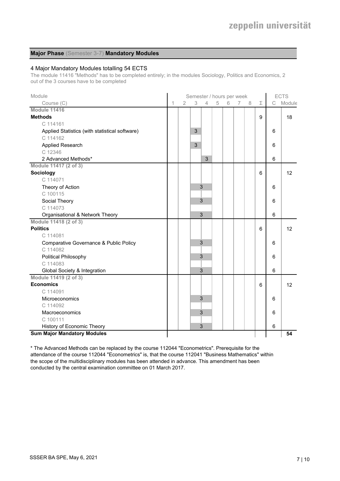#### **Major Phase** (Semester 3-7) **Mandatory Modules**

#### 4 Major Mandatory Modules totalling 54 ECTS

The module 11416 "Methods" has to be completed entirely; in the modules Sociology, Politics and Economics, 2 out of the 3 courses have to be completed

| Module                                         |              | Semester / hours per week |              |                | <b>ECTS</b> |       |   |   |   |              |        |
|------------------------------------------------|--------------|---------------------------|--------------|----------------|-------------|-------|---|---|---|--------------|--------|
| Course (C)                                     | $\mathbf{1}$ | $\overline{2}$            | 3            | $\overline{4}$ | 5           | $6\,$ | 7 | 8 | Σ | $\mathbb{C}$ | Module |
| Module 11416                                   |              |                           |              |                |             |       |   |   |   |              |        |
| <b>Methods</b>                                 |              |                           |              |                |             |       |   |   | 9 |              | 18     |
| C 114161                                       |              |                           |              |                |             |       |   |   |   |              |        |
| Applied Statistics (with statistical software) |              |                           | $\mathbf{3}$ |                |             |       |   |   |   | 6            |        |
| C 114162                                       |              |                           |              |                |             |       |   |   |   |              |        |
| Applied Research                               |              |                           | 3            |                |             |       |   |   |   | 6            |        |
| C 12346                                        |              |                           |              |                |             |       |   |   |   |              |        |
| 2 Advanced Methods*                            |              |                           |              | 3              |             |       |   |   |   | 6            |        |
| Module 11417 (2 of 3)                          |              |                           |              |                |             |       |   |   |   |              |        |
| Sociology                                      |              |                           |              |                |             |       |   |   | 6 |              | 12     |
| C 114071                                       |              |                           |              |                |             |       |   |   |   |              |        |
| Theory of Action                               |              |                           |              | 3              |             |       |   |   |   | 6            |        |
| C 100115                                       |              |                           |              |                |             |       |   |   |   |              |        |
| Social Theory                                  |              |                           |              | 3              |             |       |   |   |   | 6            |        |
| C 114073                                       |              |                           |              |                |             |       |   |   |   |              |        |
| Organisational & Network Theory                |              |                           |              | 3              |             |       |   |   |   | 6            |        |
| Module 11418 (2 of 3)                          |              |                           |              |                |             |       |   |   |   |              |        |
| <b>Politics</b>                                |              |                           |              |                |             |       |   |   | 6 |              | 12     |
| C 114081                                       |              |                           |              |                |             |       |   |   |   |              |        |
| Comparative Governance & Public Policy         |              |                           |              | 3              |             |       |   |   |   | 6            |        |
| C 114082                                       |              |                           |              |                |             |       |   |   |   |              |        |
| Political Philosophy                           |              |                           |              | 3              |             |       |   |   |   | 6            |        |
| C 114083                                       |              |                           |              |                |             |       |   |   |   |              |        |
| Global Society & Integration                   |              |                           |              | 3              |             |       |   |   |   | 6            |        |
| Module 11419 (2 of 3)                          |              |                           |              |                |             |       |   |   |   |              |        |
| <b>Economics</b>                               |              |                           |              |                |             |       |   |   | 6 |              | 12     |
| C 114091                                       |              |                           |              |                |             |       |   |   |   |              |        |
| Microeconomics                                 |              |                           |              | 3              |             |       |   |   |   | 6            |        |
| C 114092                                       |              |                           |              |                |             |       |   |   |   |              |        |
| Macroeconomics                                 |              |                           |              | 3              |             |       |   |   |   | 6            |        |
| C 100111                                       |              |                           |              |                |             |       |   |   |   |              |        |
| History of Economic Theory                     |              |                           |              | 3              |             |       |   |   |   | 6            |        |
| <b>Sum Major Mandatory Modules</b>             |              |                           |              |                |             |       |   |   |   |              | 54     |

\* The Advanced Methods can be replaced by the course 112044 "Econometrics". Prerequisite for the attendance of the course 112044 "Econometrics" is, that the course 112041 "Business Mathematics" within the scope of the multidisciplinary modules has been attended in advance. This amendment has been conducted by the central examination committee on 01 March 2017.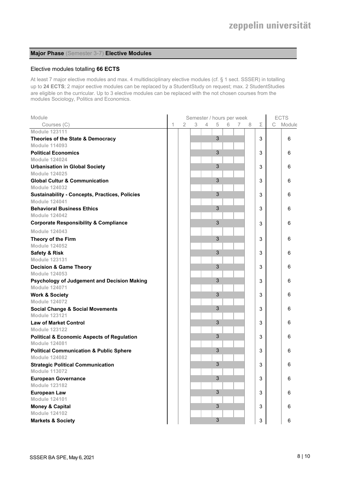### **Major Phase** (Semester 3-7) **Elective Modules**

### Elective modules totalling **66 ECTS**

At least 7 major elective modules and max. 4 multidisciplinary elective modules (cf. § 1 sect. SSSER) in totalling up to **24 ECTS**; 2 major eective modules can be replaced by a StudentStudy on request; max. 2 StudentStudies are eligible on the curricular. Up to 3 elective modules can be replaced with the not chosen courses from the modules Sociology, Politics and Economics.

| Module                                                |              | Semester / hours per week |   |   |                |   |   |   |   | <b>ECTS</b> |          |  |
|-------------------------------------------------------|--------------|---------------------------|---|---|----------------|---|---|---|---|-------------|----------|--|
| Courses (C)                                           | $\mathbf{1}$ | 2                         | 3 | 4 | 5              | 6 | 7 | 8 | Σ |             | C Module |  |
| <b>Module 123111</b>                                  |              |                           |   |   |                |   |   |   |   |             |          |  |
| Theories of the State & Democracy                     |              |                           |   |   | 3              |   |   |   | 3 |             | 6        |  |
| <b>Module 114093</b>                                  |              |                           |   |   |                |   |   |   |   |             |          |  |
| <b>Political Economics</b>                            |              |                           |   |   | 3              |   |   |   | 3 |             | 6        |  |
| <b>Module 124024</b>                                  |              |                           |   |   |                |   |   |   |   |             |          |  |
| <b>Urbanisation in Global Society</b>                 |              |                           |   |   | 3              |   |   |   | 3 |             | 6        |  |
| <b>Module 124025</b>                                  |              |                           |   |   |                |   |   |   |   |             |          |  |
| <b>Global Cultur &amp; Communication</b>              |              |                           |   |   | $\mathbf{3}$   |   |   |   | 3 |             | 6        |  |
| <b>Module 124032</b>                                  |              |                           |   |   |                |   |   |   |   |             |          |  |
| <b>Sustainability - Concepts, Practices, Policies</b> |              |                           |   |   | 3              |   |   |   | 3 |             | 6        |  |
| <b>Module 124041</b>                                  |              |                           |   |   |                |   |   |   |   |             |          |  |
| <b>Behavioral Business Ethics</b>                     |              |                           |   |   | $\mathbf{3}$   |   |   |   | 3 |             | 6        |  |
| <b>Module 124042</b>                                  |              |                           |   |   |                |   |   |   |   |             |          |  |
| <b>Corporate Responsibility &amp; Compliance</b>      |              |                           |   |   | 3              |   |   |   | 3 |             | 6        |  |
| <b>Module 124043</b>                                  |              |                           |   |   |                |   |   |   |   |             |          |  |
| Theory of the Firm                                    |              |                           |   |   | $\mathbf{3}$   |   |   |   | 3 |             | 6        |  |
| <b>Module 124052</b>                                  |              |                           |   |   |                |   |   |   |   |             |          |  |
| <b>Safety &amp; Risk</b>                              |              |                           |   |   | $\mathbf{3}$   |   |   |   | 3 |             | 6        |  |
| <b>Module 123131</b>                                  |              |                           |   |   |                |   |   |   |   |             |          |  |
| <b>Decision &amp; Game Theory</b>                     |              |                           |   |   | $\mathbf{3}$   |   |   |   | 3 |             | 6        |  |
| <b>Module 124053</b>                                  |              |                           |   |   |                |   |   |   |   |             |          |  |
| <b>Psychology of Judgement and Decision Making</b>    |              |                           |   |   | 3              |   |   |   | 3 |             | 6        |  |
| <b>Module 124071</b>                                  |              |                           |   |   |                |   |   |   |   |             |          |  |
| <b>Work &amp; Society</b>                             |              |                           |   |   | 3              |   |   |   | 3 |             | 6        |  |
| <b>Module 124072</b>                                  |              |                           |   |   |                |   |   |   |   |             |          |  |
| <b>Social Change &amp; Social Movements</b>           |              |                           |   |   | $\mathbf{3}$   |   |   |   | 3 |             | 6        |  |
| <b>Module 123121</b>                                  |              |                           |   |   |                |   |   |   |   |             |          |  |
| <b>Law of Market Control</b>                          |              |                           |   |   | $\mathbf{3}$   |   |   |   | 3 |             | 6        |  |
| <b>Module 123122</b>                                  |              |                           |   |   |                |   |   |   |   |             |          |  |
| <b>Political &amp; Economic Aspects of Regulation</b> |              |                           |   |   | $\mathbf{3}$   |   |   |   | 3 |             | 6        |  |
| <b>Module 124081</b>                                  |              |                           |   |   |                |   |   |   |   |             |          |  |
| <b>Political Communication &amp; Public Sphere</b>    |              |                           |   |   | $\mathbf{3}$   |   |   |   | 3 |             | 6        |  |
| <b>Module 124082</b>                                  |              |                           |   |   |                |   |   |   |   |             |          |  |
| <b>Strategic Political Communication</b>              |              |                           |   |   | 3              |   |   |   | 3 |             | 6        |  |
| <b>Module 113072</b>                                  |              |                           |   |   |                |   |   |   |   |             |          |  |
| <b>European Governance</b>                            |              |                           |   |   | $\overline{3}$ |   |   |   | 3 |             | 6        |  |
| <b>Module 123182</b>                                  |              |                           |   |   |                |   |   |   |   |             |          |  |
| <b>European Law</b>                                   |              |                           |   |   | $\mathfrak{S}$ |   |   |   | 3 |             | 6        |  |
| <b>Module 124101</b>                                  |              |                           |   |   |                |   |   |   |   |             |          |  |
| <b>Money &amp; Capital</b>                            |              |                           |   |   | $\mathfrak{S}$ |   |   |   | 3 |             | 6        |  |
| <b>Module 124102</b>                                  |              |                           |   |   |                |   |   |   |   |             |          |  |
| <b>Markets &amp; Society</b>                          |              |                           |   |   | $\mathbf{3}$   |   |   |   | 3 |             | 6        |  |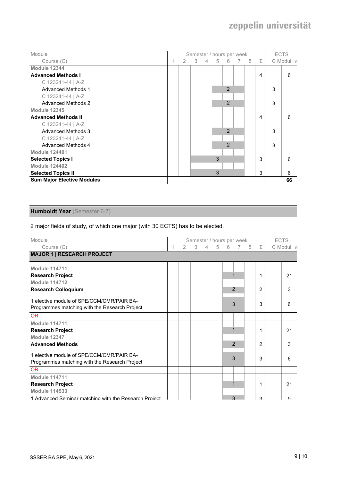| Module                            |   | Semester / hours per week | <b>ECTS</b> |                |   |                |   |     |   |   |           |
|-----------------------------------|---|---------------------------|-------------|----------------|---|----------------|---|-----|---|---|-----------|
| Course (C)                        | 1 | 2                         | 3           | $\overline{4}$ | 5 | 6              | 7 | - 8 | Σ |   | C Modul e |
| Module 12344                      |   |                           |             |                |   |                |   |     |   |   |           |
| <b>Advanced Methods I</b>         |   |                           |             |                |   |                |   |     | 4 |   | 6         |
| C 123241-44   A-Z                 |   |                           |             |                |   |                |   |     |   |   |           |
| Advanced Methods 1                |   |                           |             |                |   | $\overline{2}$ |   |     |   | 3 |           |
| C 123241-44   A-Z                 |   |                           |             |                |   |                |   |     |   |   |           |
| <b>Advanced Methods 2</b>         |   |                           |             |                |   | $\overline{2}$ |   |     |   | 3 |           |
| <b>Module 12345</b>               |   |                           |             |                |   |                |   |     |   |   |           |
| <b>Advanced Methods II</b>        |   |                           |             |                |   |                |   |     | 4 |   | 6         |
| C 123241-44   A-Z                 |   |                           |             |                |   |                |   |     |   |   |           |
| <b>Advanced Methods 3</b>         |   |                           |             |                |   | $\overline{2}$ |   |     |   | 3 |           |
| C 123241-44   A-Z                 |   |                           |             |                |   |                |   |     |   |   |           |
| <b>Advanced Methods 4</b>         |   |                           |             |                |   | $\overline{2}$ |   |     |   | 3 |           |
| <b>Module 124401</b>              |   |                           |             |                |   |                |   |     |   |   |           |
| <b>Selected Topics I</b>          |   |                           |             |                | 3 |                |   |     | 3 |   | 6         |
| <b>Module 124402</b>              |   |                           |             |                |   |                |   |     |   |   |           |
| <b>Selected Topics II</b>         |   |                           |             |                | 3 |                |   |     | 3 |   | 6         |
| <b>Sum Major Elective Modules</b> |   |                           |             |                |   |                |   |     |   |   | 66        |

## **Humboldt Year** (Semester 6-7)

2 major fields of study, of which one major (with 30 ECTS) has to be elected.

| Module                                                | Semester / hours per week |               |   |                |   |                |                |   |                |  | <b>ECTS</b> |
|-------------------------------------------------------|---------------------------|---------------|---|----------------|---|----------------|----------------|---|----------------|--|-------------|
| Course (C)                                            | 1                         | $\mathcal{P}$ | 3 | $\overline{4}$ | 5 | 6              | $\overline{7}$ | 8 | Σ              |  | C Modul e   |
| <b>MAJOR 1   RESEARCH PROJECT</b>                     |                           |               |   |                |   |                |                |   |                |  |             |
| <b>Module 114711</b>                                  |                           |               |   |                |   |                |                |   |                |  |             |
| <b>Research Project</b>                               |                           |               |   |                |   | $\overline{1}$ |                |   | 1              |  | 21          |
| <b>Module 114712</b>                                  |                           |               |   |                |   |                |                |   |                |  |             |
| <b>Research Colloquium</b>                            |                           |               |   |                |   | $\overline{2}$ |                |   | 2              |  | 3           |
| 1 elective module of SPE/CCM/CMR/PAIR BA-             |                           |               |   |                |   | 3              |                |   | 3              |  | 6           |
| Programmes matching with the Research Project         |                           |               |   |                |   |                |                |   |                |  |             |
| OR.                                                   |                           |               |   |                |   |                |                |   |                |  |             |
| <b>Module 114711</b>                                  |                           |               |   |                |   |                |                |   |                |  |             |
| <b>Research Project</b>                               |                           |               |   |                |   | 1              |                |   | 1              |  | 21          |
| Module 12347                                          |                           |               |   |                |   |                |                |   |                |  |             |
| <b>Advanced Methods</b>                               |                           |               |   |                |   | $\mathcal{P}$  |                |   | $\overline{2}$ |  | 3           |
| 1 elective module of SPE/CCM/CMR/PAIR BA-             |                           |               |   |                |   |                |                |   |                |  |             |
| Programmes matching with the Research Project         |                           |               |   |                |   | 3              |                |   | 3              |  | 6           |
| <b>OR</b>                                             |                           |               |   |                |   |                |                |   |                |  |             |
| <b>Module 114711</b>                                  |                           |               |   |                |   |                |                |   |                |  |             |
| <b>Research Project</b>                               |                           |               |   |                |   | $\overline{1}$ |                |   | 1              |  | 21          |
| <b>Module 114533</b>                                  |                           |               |   |                |   |                |                |   |                |  |             |
| 1 Advanced Seminar matching with the Research Project |                           |               |   |                |   | ર              |                |   | З              |  | q           |